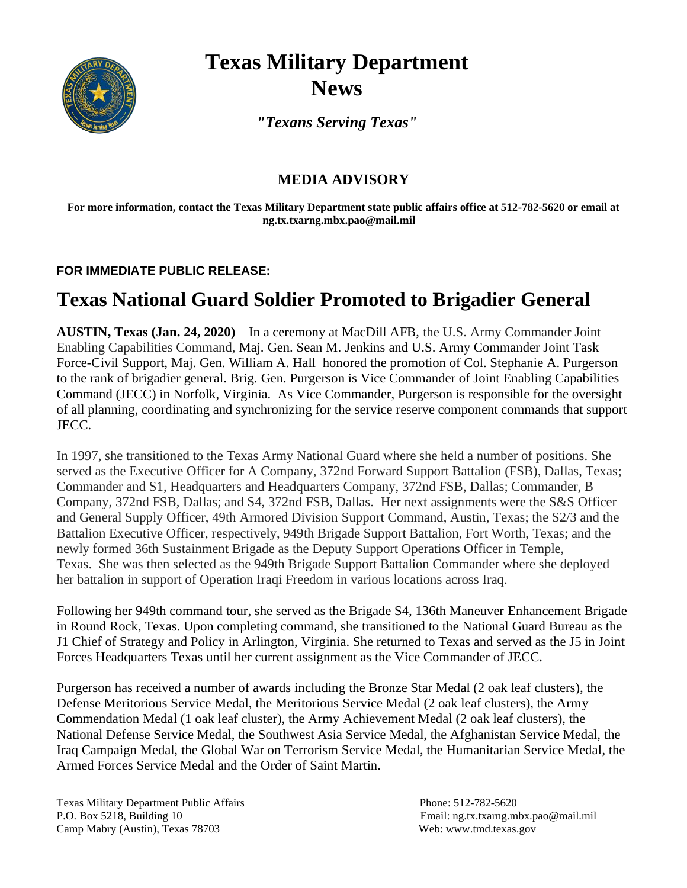

## **Texas Military Department News**

*"Texans Serving Texas"*

## **MEDIA ADVISORY**

**For more information, contact the Texas Military Department state public affairs office at 512-782-5620 or email at ng.tx.txarng.mbx.pao@mail.mil**

## **FOR IMMEDIATE PUBLIC RELEASE:**

## **Texas National Guard Soldier Promoted to Brigadier General**

**AUSTIN, Texas (Jan. 24, 2020)** – In a ceremony at MacDill AFB, the U.S. Army Commander Joint Enabling Capabilities Command, Maj. Gen. Sean M. Jenkins and U.S. Army Commander Joint Task Force-Civil Support, Maj. Gen. William A. Hall honored the promotion of Col. Stephanie A. Purgerson to the rank of brigadier general. Brig. Gen. Purgerson is Vice Commander of Joint Enabling Capabilities Command (JECC) in Norfolk, Virginia. As Vice Commander, Purgerson is responsible for the oversight of all planning, coordinating and synchronizing for the service reserve component commands that support JECC.

In 1997, she transitioned to the Texas Army National Guard where she held a number of positions. She served as the Executive Officer for A Company, 372nd Forward Support Battalion (FSB), Dallas, Texas; Commander and S1, Headquarters and Headquarters Company, 372nd FSB, Dallas; Commander, B Company, 372nd FSB, Dallas; and S4, 372nd FSB, Dallas. Her next assignments were the S&S Officer and General Supply Officer, 49th Armored Division Support Command, Austin, Texas; the S2/3 and the Battalion Executive Officer, respectively, 949th Brigade Support Battalion, Fort Worth, Texas; and the newly formed 36th Sustainment Brigade as the Deputy Support Operations Officer in Temple, Texas. She was then selected as the 949th Brigade Support Battalion Commander where she deployed her battalion in support of Operation Iraqi Freedom in various locations across Iraq.

Following her 949th command tour, she served as the Brigade S4, 136th Maneuver Enhancement Brigade in Round Rock, Texas. Upon completing command, she transitioned to the National Guard Bureau as the J1 Chief of Strategy and Policy in Arlington, Virginia. She returned to Texas and served as the J5 in Joint Forces Headquarters Texas until her current assignment as the Vice Commander of JECC.

Purgerson has received a number of awards including the Bronze Star Medal (2 oak leaf clusters), the Defense Meritorious Service Medal, the Meritorious Service Medal (2 oak leaf clusters), the Army Commendation Medal (1 oak leaf cluster), the Army Achievement Medal (2 oak leaf clusters), the National Defense Service Medal, the Southwest Asia Service Medal, the Afghanistan Service Medal, the Iraq Campaign Medal, the Global War on Terrorism Service Medal, the Humanitarian Service Medal, the Armed Forces Service Medal and the Order of Saint Martin.

Texas Military Department Public Affairs Phone: 512-782-5620 P.O. Box 5218, Building 10 Email: ng.tx.txarng.mbx.pao@mail.mil Camp Mabry (Austin), Texas 78703 Web: www.tmd.texas.gov